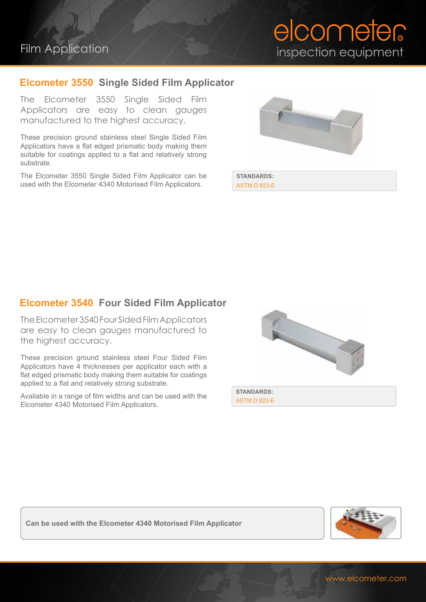# Film Application

### **Elcometer 3550 Single Sided Film Applicator**

The Elcometer 3550 Single Sided Film Applicators are easy to clean gauges manufactured to the highest accuracy.

These precision ground stainless steel Single Sided Film Applicators have a flat edged prismatic body making them suitable for coatings applied to a flat and relatively strong substrate.

The Elcometer 3550 Single Sided Film Applicator can be used with the Elcometer 4340 Motorised Film Applicators.



**STANDARDS:** ASTM D 823-E

#### **Elcometer 3540 Four Sided Film Applicator**

The Elcometer 3540 Four Sided Film Applicators are easy to clean gauges manufactured to the highest accuracy.

These precision ground stainless steel Four Sided Film Applicators have 4 thicknesses per applicator each with a flat edged prismatic body making them suitable for coatings applied to a flat and relatively strong substrate.

Available in a range of film widths and can be used with the Elcometer 4340 Motorised Film Applicators.



**STANDARDS:** ASTM D 823-E

**Can be used with the Elcometer 4340 Motorised Film Applicator**